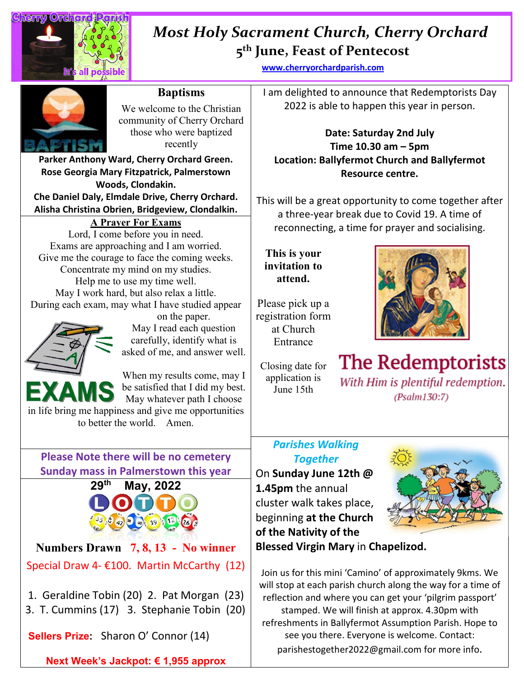

## **5th June, Feast of Pentecost**  *Most Holy Sacrament Church, Cherry Orchard*

**[www.cherryorchardparish.com](http://www.cherryorchardparish.com/)**

**Baptisms** 

We welcome to the Christian community of Cherry Orchard those who were baptized recently

**Parker Anthony Ward, Cherry Orchard Green. Rose Georgia Mary Fitzpatrick, Palmerstown Woods, Clondakin. Che Daniel Daly, Elmdale Drive, Cherry Orchard.**

**Alisha Christina Obrien, Bridgeview, Clondalkin.**

## **A Prayer For Exams**

Lord, I come before you in need. Exams are approaching and I am worried. Give me the courage to face the coming weeks. Concentrate my mind on my studies. Help me to use my time well. May I work hard, but also relax a little. During each exam, may what I have studied appear



on the paper. May I read each question carefully, identify what is asked of me, and answer well.



in life bring me happiness and give me opportunities to better the world. Amen.

# **Please Note there will be no cemetery Sunday mass in Palmerstown this year**



**Numbers Drawn 7, 8, 13 - No winner** Special Draw 4- €100. Martin McCarthy (12)

- 1. Geraldine Tobin (20) 2. Pat Morgan (23)
- 3. T. Cummins (17) 3. Stephanie Tobin (20)

**Sellers Prize:** Sharon O' Connor (14)

**Next Week's Jackpot: € 1,955 approx**

I am delighted to announce that Redemptorists Day 2022 is able to happen this year in person.

### **Date: Saturday 2nd July Time 10.30 am – 5pm Location: Ballyfermot Church and Ballyfermot Resource centre.**

This will be a great opportunity to come together after a three-year break due to Covid 19. A time of reconnecting, a time for prayer and socialising.

**This is your invitation to attend.**

Please pick up a registration form at Church Entrance

Closing date for application is June 15th



The Redemptorists With Him is plentiful redemption.  $(Psalm130:7)$ 

## *Parishes Walking Together*

On **Sunday June 12th @ 1.45pm** the annual cluster walk takes place, beginning **at the Church of the Nativity of the Blessed Virgin Mary** in **Chapelizod.**



Join us for this mini 'Camino' of approximately 9kms. We will stop at each parish church along the way for a time of reflection and where you can get your 'pilgrim passport' stamped. We will finish at approx. 4.30pm with refreshments in Ballyfermot Assumption Parish. Hope to see you there. Everyone is welcome. Contact: parishestogether2022@gmail.com for more info.